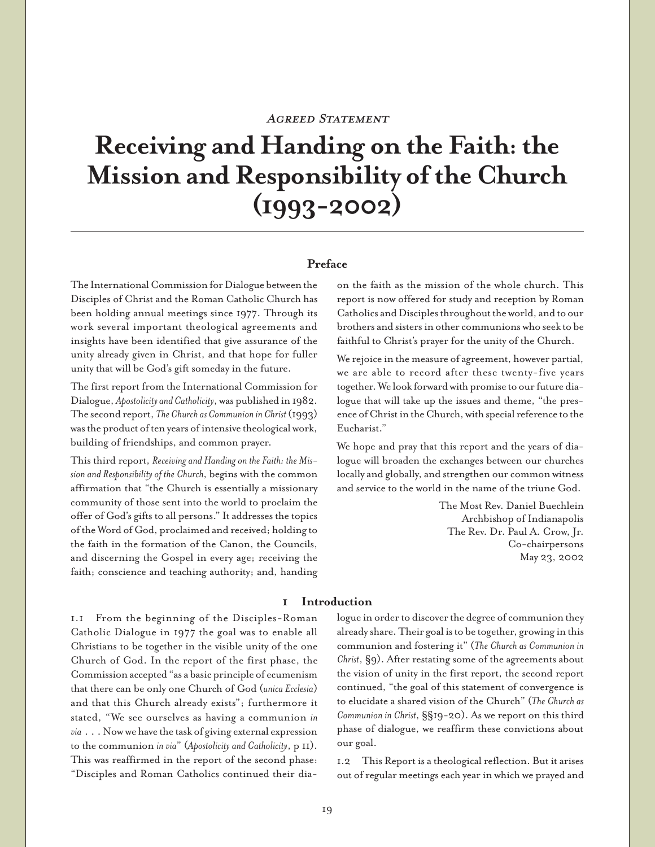# AGREED STATEMENT

# **Receiving and Handing on the Faith: the Mission and Responsibility of the Church (1993-2002)**

# **Preface**

The International Commission for Dialogue between the Disciples of Christ and the Roman Catholic Church has been holding annual meetings since 1977. Through its work several important theological agreements and insights have been identified that give assurance of the unity already given in Christ, and that hope for fuller unity that will be God's gift someday in the future.

The first report from the International Commission for Dialogue, *Apostolicity and Catholicity*, was published in 1982. The second report, *The Church as Communion in Christ* (1993) was the product of ten years of intensive theological work, building of friendships, and common prayer.

This third report, *Receiving and Handing on the Faith: the Mission and Responsibility of the Church*, begins with the common affirmation that "the Church is essentially a missionary community of those sent into the world to proclaim the offer of God's gifts to all persons." It addresses the topics of the Word of God, proclaimed and received; holding to the faith in the formation of the Canon, the Councils, and discerning the Gospel in every age; receiving the faith; conscience and teaching authority; and, handing on the faith as the mission of the whole church. This report is now offered for study and reception by Roman Catholics and Disciples throughout the world, and to our brothers and sisters in other communions who seek to be faithful to Christ's prayer for the unity of the Church.

We rejoice in the measure of agreement, however partial, we are able to record after these twenty-five years together. We look forward with promise to our future dialogue that will take up the issues and theme, "the presence of Christ in the Church, with special reference to the Eucharist."

We hope and pray that this report and the years of dialogue will broaden the exchanges between our churches locally and globally, and strengthen our common witness and service to the world in the name of the triune God.

> The Most Rev. Daniel Buechlein Archbishop of Indianapolis The Rev. Dr. Paul A. Crow, Jr. Co-chairpersons May 23, 2002

#### **1 Introduction**

1.1 From the beginning of the Disciples-Roman Catholic Dialogue in 1977 the goal was to enable all Christians to be together in the visible unity of the one Church of God. In the report of the first phase, the Commission accepted "as a basic principle of ecumenism that there can be only one Church of God (*unica Ecclesia*) and that this Church already exists"; furthermore it stated, "We see ourselves as having a communion *in via* . . . Now we have the task of giving external expression to the communion *in via*" (*Apostolicity and Catholicity*, p 11). This was reaffirmed in the report of the second phase: "Disciples and Roman Catholics continued their dialogue in order to discover the degree of communion they already share. Their goal is to be together, growing in this communion and fostering it" (*The Church as Communion in Christ*, §9). After restating some of the agreements about the vision of unity in the first report, the second report continued, "the goal of this statement of convergence is to elucidate a shared vision of the Church" (*The Church as Communion in Christ*, §§19-20). As we report on this third phase of dialogue, we reaffirm these convictions about our goal.

1.2 This Report is a theological reflection. But it arises out of regular meetings each year in which we prayed and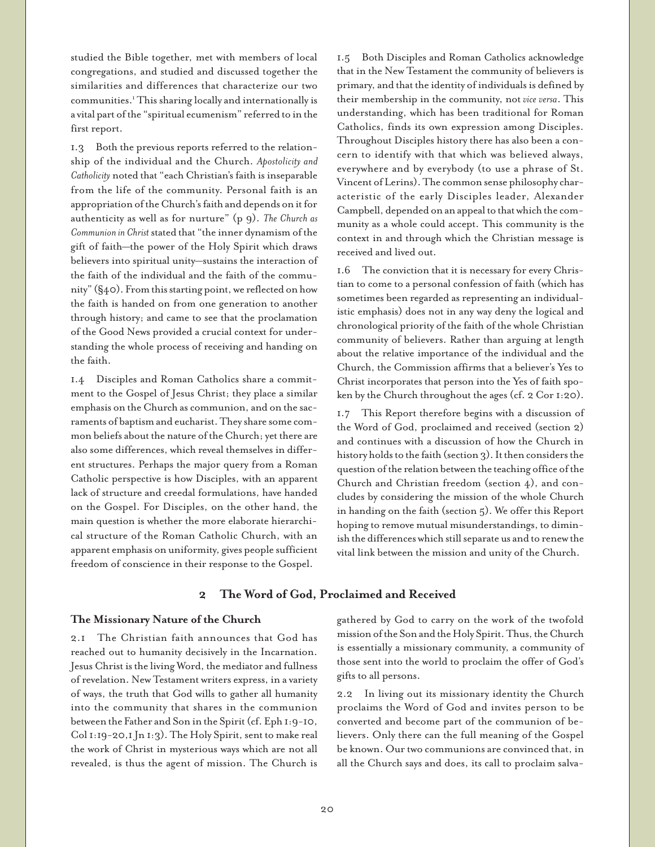studied the Bible together, met with members of local congregations, and studied and discussed together the similarities and differences that characterize our two communities.1 This sharing locally and internationally is a vital part of the "spiritual ecumenism" referred to in the first report.

1.3 Both the previous reports referred to the relationship of the individual and the Church. *Apostolicity and Catholicity* noted that "each Christian's faith is inseparable from the life of the community. Personal faith is an appropriation of the Church's faith and depends on it for authenticity as well as for nurture" (p 9). *The Church as Communion in Christ* stated that "the inner dynamism of the gift of faith—the power of the Holy Spirit which draws believers into spiritual unity—sustains the interaction of the faith of the individual and the faith of the community" (§40). From this starting point, we reflected on how the faith is handed on from one generation to another through history; and came to see that the proclamation of the Good News provided a crucial context for understanding the whole process of receiving and handing on the faith.

1.4 Disciples and Roman Catholics share a commitment to the Gospel of Jesus Christ; they place a similar emphasis on the Church as communion, and on the sacraments of baptism and eucharist. They share some common beliefs about the nature of the Church; yet there are also some differences, which reveal themselves in different structures. Perhaps the major query from a Roman Catholic perspective is how Disciples, with an apparent lack of structure and creedal formulations, have handed on the Gospel. For Disciples, on the other hand, the main question is whether the more elaborate hierarchical structure of the Roman Catholic Church, with an apparent emphasis on uniformity, gives people sufficient freedom of conscience in their response to the Gospel.

1.5 Both Disciples and Roman Catholics acknowledge that in the New Testament the community of believers is primary, and that the identity of individuals is defined by their membership in the community, not *vice versa*. This understanding, which has been traditional for Roman Catholics, finds its own expression among Disciples. Throughout Disciples history there has also been a concern to identify with that which was believed always, everywhere and by everybody (to use a phrase of St. Vincent of Lerins). The common sense philosophy characteristic of the early Disciples leader, Alexander Campbell, depended on an appeal to that which the community as a whole could accept. This community is the context in and through which the Christian message is received and lived out.

1.6 The conviction that it is necessary for every Christian to come to a personal confession of faith (which has sometimes been regarded as representing an individualistic emphasis) does not in any way deny the logical and chronological priority of the faith of the whole Christian community of believers. Rather than arguing at length about the relative importance of the individual and the Church, the Commission affirms that a believer's Yes to Christ incorporates that person into the Yes of faith spoken by the Church throughout the ages (cf. 2 Cor 1:20).

1.7 This Report therefore begins with a discussion of the Word of God, proclaimed and received (section 2) and continues with a discussion of how the Church in history holds to the faith (section 3). It then considers the question of the relation between the teaching office of the Church and Christian freedom (section 4), and concludes by considering the mission of the whole Church in handing on the faith (section 5). We offer this Report hoping to remove mutual misunderstandings, to diminish the differences which still separate us and to renew the vital link between the mission and unity of the Church.

# **2 The Word of God, Proclaimed and Received**

#### **The Missionary Nature of the Church**

2.1 The Christian faith announces that God has reached out to humanity decisively in the Incarnation. Jesus Christ is the living Word, the mediator and fullness of revelation. New Testament writers express, in a variety of ways, the truth that God wills to gather all humanity into the community that shares in the communion between the Father and Son in the Spirit (cf. Eph 1:9-10, Col 1:19-20,1 Jn 1:3). The Holy Spirit, sent to make real the work of Christ in mysterious ways which are not all revealed, is thus the agent of mission. The Church is

gathered by God to carry on the work of the twofold mission of the Son and the Holy Spirit. Thus, the Church is essentially a missionary community, a community of those sent into the world to proclaim the offer of God's gifts to all persons.

2.2 In living out its missionary identity the Church proclaims the Word of God and invites person to be converted and become part of the communion of believers. Only there can the full meaning of the Gospel be known. Our two communions are convinced that, in all the Church says and does, its call to proclaim salva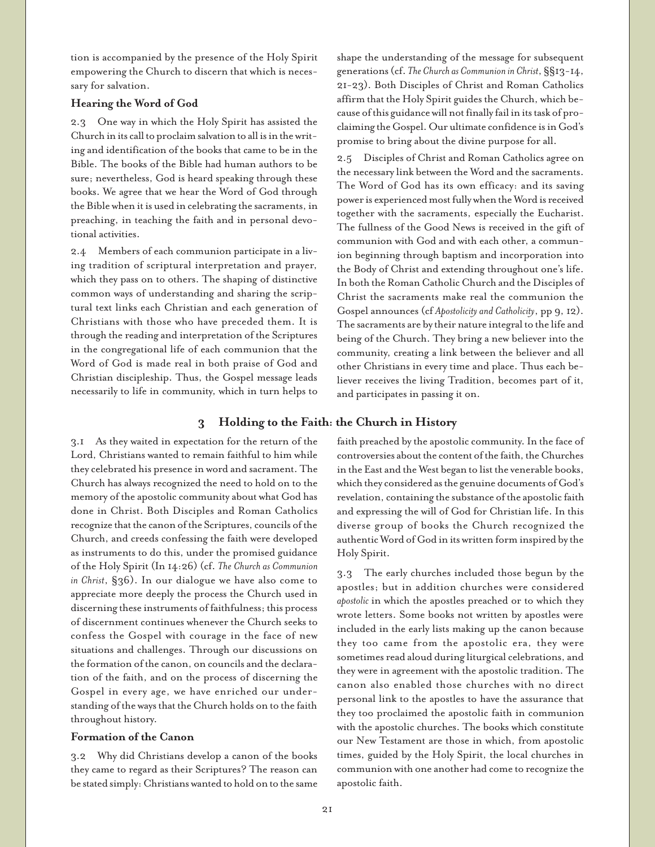tion is accompanied by the presence of the Holy Spirit empowering the Church to discern that which is necessary for salvation.

### **Hearing the Word of God**

2.3 One way in which the Holy Spirit has assisted the Church in its call to proclaim salvation to all is in the writing and identification of the books that came to be in the Bible. The books of the Bible had human authors to be sure; nevertheless, God is heard speaking through these books. We agree that we hear the Word of God through the Bible when it is used in celebrating the sacraments, in preaching, in teaching the faith and in personal devotional activities.

2.4 Members of each communion participate in a living tradition of scriptural interpretation and prayer, which they pass on to others. The shaping of distinctive common ways of understanding and sharing the scriptural text links each Christian and each generation of Christians with those who have preceded them. It is through the reading and interpretation of the Scriptures in the congregational life of each communion that the Word of God is made real in both praise of God and Christian discipleship. Thus, the Gospel message leads necessarily to life in community, which in turn helps to shape the understanding of the message for subsequent generations (cf. *The Church as Communion in Christ*, §§13-14, 21-23). Both Disciples of Christ and Roman Catholics affirm that the Holy Spirit guides the Church, which because of this guidance will not finally fail in its task of proclaiming the Gospel. Our ultimate confidence is in God's promise to bring about the divine purpose for all.

2.5 Disciples of Christ and Roman Catholics agree on the necessary link between the Word and the sacraments. The Word of God has its own efficacy: and its saving power is experienced most fully when the Word is received together with the sacraments, especially the Eucharist. The fullness of the Good News is received in the gift of communion with God and with each other, a communion beginning through baptism and incorporation into the Body of Christ and extending throughout one's life. In both the Roman Catholic Church and the Disciples of Christ the sacraments make real the communion the Gospel announces (cf *Apostolicity and Catholicity*, pp 9, 12). The sacraments are by their nature integral to the life and being of the Church. They bring a new believer into the community, creating a link between the believer and all other Christians in every time and place. Thus each believer receives the living Tradition, becomes part of it, and participates in passing it on.

# **3 Holding to the Faith: the Church in History**

3.1 As they waited in expectation for the return of the Lord, Christians wanted to remain faithful to him while they celebrated his presence in word and sacrament. The Church has always recognized the need to hold on to the memory of the apostolic community about what God has done in Christ. Both Disciples and Roman Catholics recognize that the canon of the Scriptures, councils of the Church, and creeds confessing the faith were developed as instruments to do this, under the promised guidance of the Holy Spirit (In 14:26) (cf. *The Church as Communion in Christ*, §36). In our dialogue we have also come to appreciate more deeply the process the Church used in discerning these instruments of faithfulness; this process of discernment continues whenever the Church seeks to confess the Gospel with courage in the face of new situations and challenges. Through our discussions on the formation of the canon, on councils and the declaration of the faith, and on the process of discerning the Gospel in every age, we have enriched our understanding of the ways that the Church holds on to the faith throughout history.

#### **Formation of the Canon**

3.2 Why did Christians develop a canon of the books they came to regard as their Scriptures? The reason can be stated simply: Christians wanted to hold on to the same

faith preached by the apostolic community. In the face of controversies about the content of the faith, the Churches in the East and the West began to list the venerable books, which they considered as the genuine documents of God's revelation, containing the substance of the apostolic faith and expressing the will of God for Christian life. In this diverse group of books the Church recognized the authentic Word of God in its written form inspired by the Holy Spirit.

3.3 The early churches included those begun by the apostles; but in addition churches were considered *apostolic* in which the apostles preached or to which they wrote letters. Some books not written by apostles were included in the early lists making up the canon because they too came from the apostolic era, they were sometimes read aloud during liturgical celebrations, and they were in agreement with the apostolic tradition. The canon also enabled those churches with no direct personal link to the apostles to have the assurance that they too proclaimed the apostolic faith in communion with the apostolic churches. The books which constitute our New Testament are those in which, from apostolic times, guided by the Holy Spirit, the local churches in communion with one another had come to recognize the apostolic faith.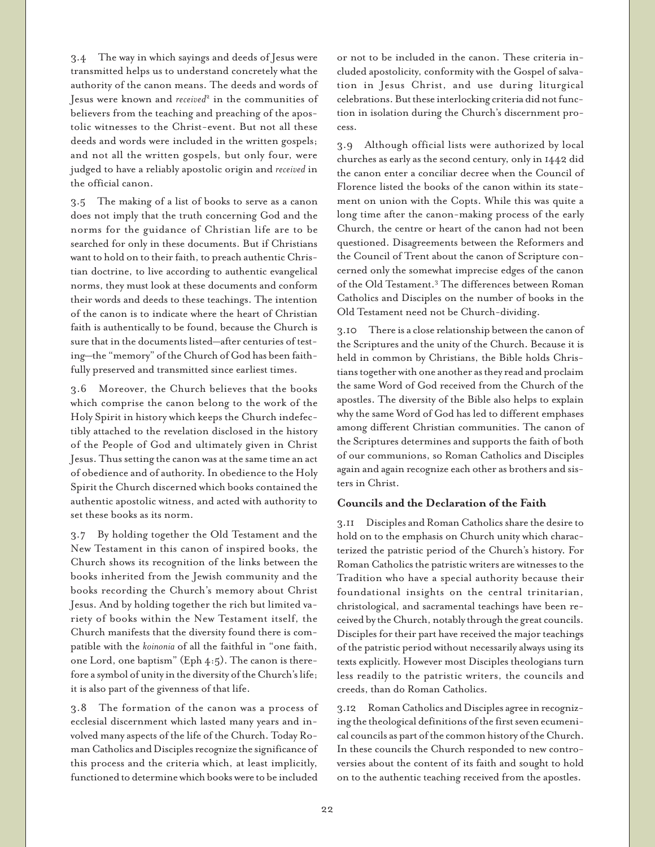3.4 The way in which sayings and deeds of Jesus were transmitted helps us to understand concretely what the authority of the canon means. The deeds and words of Jesus were known and *received*<sup>2</sup> in the communities of believers from the teaching and preaching of the apostolic witnesses to the Christ-event. But not all these deeds and words were included in the written gospels; and not all the written gospels, but only four, were judged to have a reliably apostolic origin and *received* in the official canon.

3.5 The making of a list of books to serve as a canon does not imply that the truth concerning God and the norms for the guidance of Christian life are to be searched for only in these documents. But if Christians want to hold on to their faith, to preach authentic Christian doctrine, to live according to authentic evangelical norms, they must look at these documents and conform their words and deeds to these teachings. The intention of the canon is to indicate where the heart of Christian faith is authentically to be found, because the Church is sure that in the documents listed—after centuries of testing—the "memory" of the Church of God has been faithfully preserved and transmitted since earliest times.

3.6 Moreover, the Church believes that the books which comprise the canon belong to the work of the Holy Spirit in history which keeps the Church indefectibly attached to the revelation disclosed in the history of the People of God and ultimately given in Christ Jesus. Thus setting the canon was at the same time an act of obedience and of authority. In obedience to the Holy Spirit the Church discerned which books contained the authentic apostolic witness, and acted with authority to set these books as its norm.

3.7 By holding together the Old Testament and the New Testament in this canon of inspired books, the Church shows its recognition of the links between the books inherited from the Jewish community and the books recording the Church's memory about Christ Jesus. And by holding together the rich but limited variety of books within the New Testament itself, the Church manifests that the diversity found there is compatible with the *koinonia* of all the faithful in "one faith, one Lord, one baptism" (Eph 4:5). The canon is therefore a symbol of unity in the diversity of the Church's life; it is also part of the givenness of that life.

3.8 The formation of the canon was a process of ecclesial discernment which lasted many years and involved many aspects of the life of the Church. Today Roman Catholics and Disciples recognize the significance of this process and the criteria which, at least implicitly, functioned to determine which books were to be included

or not to be included in the canon. These criteria included apostolicity, conformity with the Gospel of salvation in Jesus Christ, and use during liturgical celebrations. But these interlocking criteria did not function in isolation during the Church's discernment process.

3.9 Although official lists were authorized by local churches as early as the second century, only in 1442 did the canon enter a conciliar decree when the Council of Florence listed the books of the canon within its statement on union with the Copts. While this was quite a long time after the canon-making process of the early Church, the centre or heart of the canon had not been questioned. Disagreements between the Reformers and the Council of Trent about the canon of Scripture concerned only the somewhat imprecise edges of the canon of the Old Testament.3 The differences between Roman Catholics and Disciples on the number of books in the Old Testament need not be Church-dividing.

3.10 There is a close relationship between the canon of the Scriptures and the unity of the Church. Because it is held in common by Christians, the Bible holds Christians together with one another as they read and proclaim the same Word of God received from the Church of the apostles. The diversity of the Bible also helps to explain why the same Word of God has led to different emphases among different Christian communities. The canon of the Scriptures determines and supports the faith of both of our communions, so Roman Catholics and Disciples again and again recognize each other as brothers and sisters in Christ.

#### **Councils and the Declaration of the Faith**

3.11 Disciples and Roman Catholics share the desire to hold on to the emphasis on Church unity which characterized the patristic period of the Church's history. For Roman Catholics the patristic writers are witnesses to the Tradition who have a special authority because their foundational insights on the central trinitarian, christological, and sacramental teachings have been received by the Church, notably through the great councils. Disciples for their part have received the major teachings of the patristic period without necessarily always using its texts explicitly. However most Disciples theologians turn less readily to the patristic writers, the councils and creeds, than do Roman Catholics.

3.12 Roman Catholics and Disciples agree in recognizing the theological definitions of the first seven ecumenical councils as part of the common history of the Church. In these councils the Church responded to new controversies about the content of its faith and sought to hold on to the authentic teaching received from the apostles.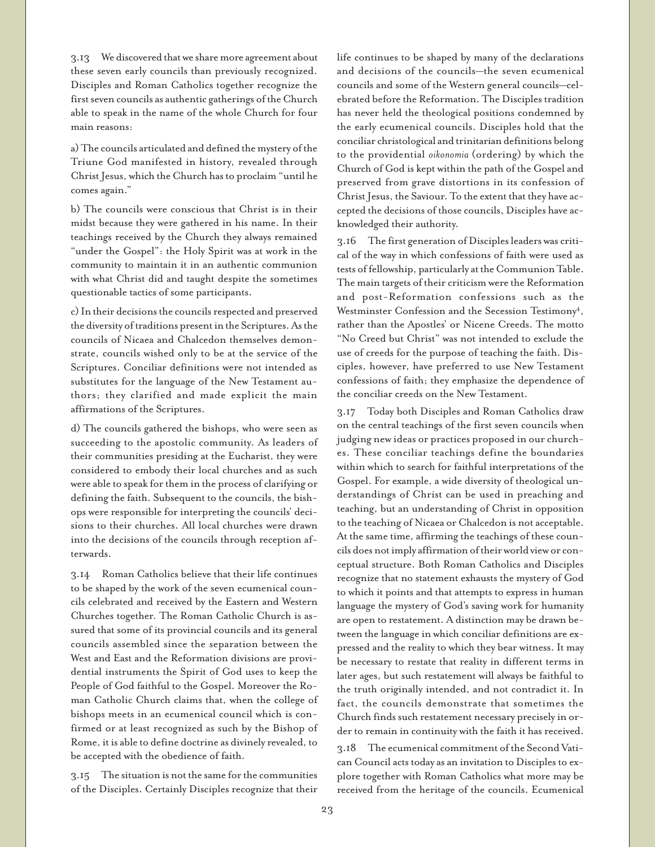3.13 We discovered that we share more agreement about these seven early councils than previously recognized. Disciples and Roman Catholics together recognize the first seven councils as authentic gatherings of the Church able to speak in the name of the whole Church for four main reasons:

a) The councils articulated and defined the mystery of the Triune God manifested in history, revealed through Christ Jesus, which the Church has to proclaim "until he comes again."

b) The councils were conscious that Christ is in their midst because they were gathered in his name. In their teachings received by the Church they always remained "under the Gospel": the Holy Spirit was at work in the community to maintain it in an authentic communion with what Christ did and taught despite the sometimes questionable tactics of some participants.

c) In their decisions the councils respected and preserved the diversity of traditions present in the Scriptures. As the councils of Nicaea and Chalcedon themselves demonstrate, councils wished only to be at the service of the Scriptures. Conciliar definitions were not intended as substitutes for the language of the New Testament authors; they clarified and made explicit the main affirmations of the Scriptures.

d) The councils gathered the bishops, who were seen as succeeding to the apostolic community. As leaders of their communities presiding at the Eucharist, they were considered to embody their local churches and as such were able to speak for them in the process of clarifying or defining the faith. Subsequent to the councils, the bishops were responsible for interpreting the councils' decisions to their churches. All local churches were drawn into the decisions of the councils through reception afterwards.

3.14 Roman Catholics believe that their life continues to be shaped by the work of the seven ecumenical councils celebrated and received by the Eastern and Western Churches together. The Roman Catholic Church is assured that some of its provincial councils and its general councils assembled since the separation between the West and East and the Reformation divisions are providential instruments the Spirit of God uses to keep the People of God faithful to the Gospel. Moreover the Roman Catholic Church claims that, when the college of bishops meets in an ecumenical council which is confirmed or at least recognized as such by the Bishop of Rome, it is able to define doctrine as divinely revealed, to be accepted with the obedience of faith.

3.15 The situation is not the same for the communities of the Disciples. Certainly Disciples recognize that their life continues to be shaped by many of the declarations and decisions of the councils—the seven ecumenical councils and some of the Western general councils—celebrated before the Reformation. The Disciples tradition has never held the theological positions condemned by the early ecumenical councils. Disciples hold that the conciliar christological and trinitarian definitions belong to the providential *oikonomia* (ordering) by which the Church of God is kept within the path of the Gospel and preserved from grave distortions in its confession of Christ Jesus, the Saviour. To the extent that they have accepted the decisions of those councils, Disciples have acknowledged their authority.

3.16 The first generation of Disciples leaders was critical of the way in which confessions of faith were used as tests of fellowship, particularly at the Communion Table. The main targets of their criticism were the Reformation and post-Reformation confessions such as the Westminster Confession and the Secession Testimony<sup>4</sup>, rather than the Apostles' or Nicene Creeds. The motto "No Creed but Christ" was not intended to exclude the use of creeds for the purpose of teaching the faith. Disciples, however, have preferred to use New Testament confessions of faith; they emphasize the dependence of the conciliar creeds on the New Testament.

3.17 Today both Disciples and Roman Catholics draw on the central teachings of the first seven councils when judging new ideas or practices proposed in our churches. These conciliar teachings define the boundaries within which to search for faithful interpretations of the Gospel. For example, a wide diversity of theological understandings of Christ can be used in preaching and teaching, but an understanding of Christ in opposition to the teaching of Nicaea or Chalcedon is not acceptable. At the same time, affirming the teachings of these councils does not imply affirmation of their world view or conceptual structure. Both Roman Catholics and Disciples recognize that no statement exhausts the mystery of God to which it points and that attempts to express in human language the mystery of God's saving work for humanity are open to restatement. A distinction may be drawn between the language in which conciliar definitions are expressed and the reality to which they bear witness. It may be necessary to restate that reality in different terms in later ages, but such restatement will always be faithful to the truth originally intended, and not contradict it. In fact, the councils demonstrate that sometimes the Church finds such restatement necessary precisely in order to remain in continuity with the faith it has received.

3.18 The ecumenical commitment of the Second Vatican Council acts today as an invitation to Disciples to explore together with Roman Catholics what more may be received from the heritage of the councils. Ecumenical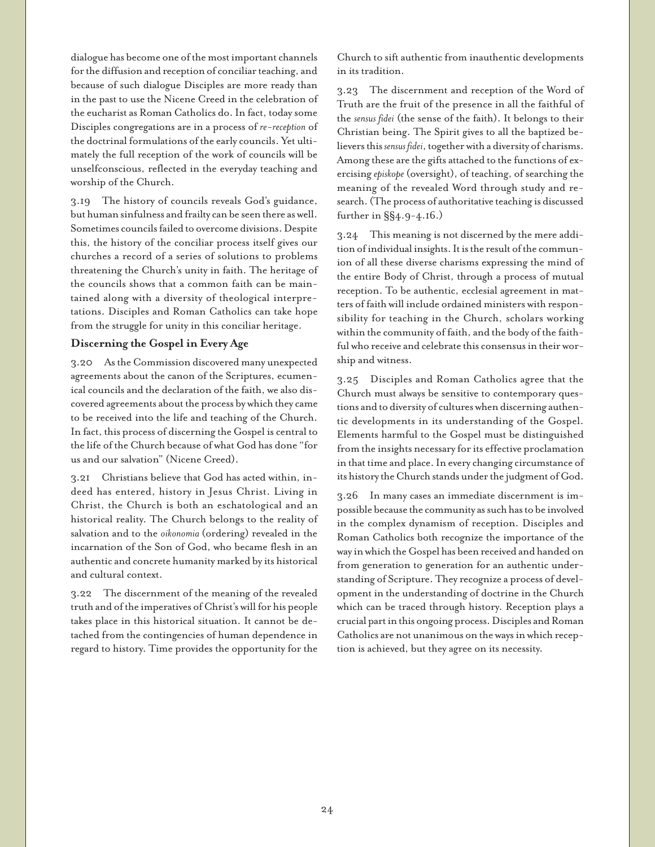dialogue has become one of the most important channels for the diffusion and reception of conciliar teaching, and because of such dialogue Disciples are more ready than in the past to use the Nicene Creed in the celebration of the eucharist as Roman Catholics do. In fact, today some Disciples congregations are in a process of *re-reception* of the doctrinal formulations of the early councils. Yet ultimately the full reception of the work of councils will be unselfconscious, reflected in the everyday teaching and worship of the Church.

3.19 The history of councils reveals God's guidance, but human sinfulness and frailty can be seen there as well. Sometimes councils failed to overcome divisions. Despite this, the history of the conciliar process itself gives our churches a record of a series of solutions to problems threatening the Church's unity in faith. The heritage of the councils shows that a common faith can be maintained along with a diversity of theological interpretations. Disciples and Roman Catholics can take hope from the struggle for unity in this conciliar heritage.

# **Discerning the Gospel in Every Age**

3.20 As the Commission discovered many unexpected agreements about the canon of the Scriptures, ecumenical councils and the declaration of the faith, we also discovered agreements about the process by which they came to be received into the life and teaching of the Church. In fact, this process of discerning the Gospel is central to the life of the Church because of what God has done "for us and our salvation" (Nicene Creed).

3.21 Christians believe that God has acted within, indeed has entered, history in Jesus Christ. Living in Christ, the Church is both an eschatological and an historical reality. The Church belongs to the reality of salvation and to the *oikonomia* (ordering) revealed in the incarnation of the Son of God, who became flesh in an authentic and concrete humanity marked by its historical and cultural context.

3.22 The discernment of the meaning of the revealed truth and of the imperatives of Christ's will for his people takes place in this historical situation. It cannot be detached from the contingencies of human dependence in regard to history. Time provides the opportunity for the

Church to sift authentic from inauthentic developments in its tradition.

3.23 The discernment and reception of the Word of Truth are the fruit of the presence in all the faithful of the *sensus fidei* (the sense of the faith). It belongs to their Christian being. The Spirit gives to all the baptized believers this *sensus fidei*, together with a diversity of charisms. Among these are the gifts attached to the functions of exercising *episkope* (oversight), of teaching, of searching the meaning of the revealed Word through study and research. (The process of authoritative teaching is discussed further in §§4.9-4.16.)

3.24 This meaning is not discerned by the mere addition of individual insights. It is the result of the communion of all these diverse charisms expressing the mind of the entire Body of Christ, through a process of mutual reception. To be authentic, ecclesial agreement in matters of faith will include ordained ministers with responsibility for teaching in the Church, scholars working within the community of faith, and the body of the faithful who receive and celebrate this consensus in their worship and witness.

3.25 Disciples and Roman Catholics agree that the Church must always be sensitive to contemporary questions and to diversity of cultures when discerning authentic developments in its understanding of the Gospel. Elements harmful to the Gospel must be distinguished from the insights necessary for its effective proclamation in that time and place. In every changing circumstance of its history the Church stands under the judgment of God.

3.26 In many cases an immediate discernment is impossible because the community as such has to be involved in the complex dynamism of reception. Disciples and Roman Catholics both recognize the importance of the way in which the Gospel has been received and handed on from generation to generation for an authentic understanding of Scripture. They recognize a process of development in the understanding of doctrine in the Church which can be traced through history. Reception plays a crucial part in this ongoing process. Disciples and Roman Catholics are not unanimous on the ways in which reception is achieved, but they agree on its necessity.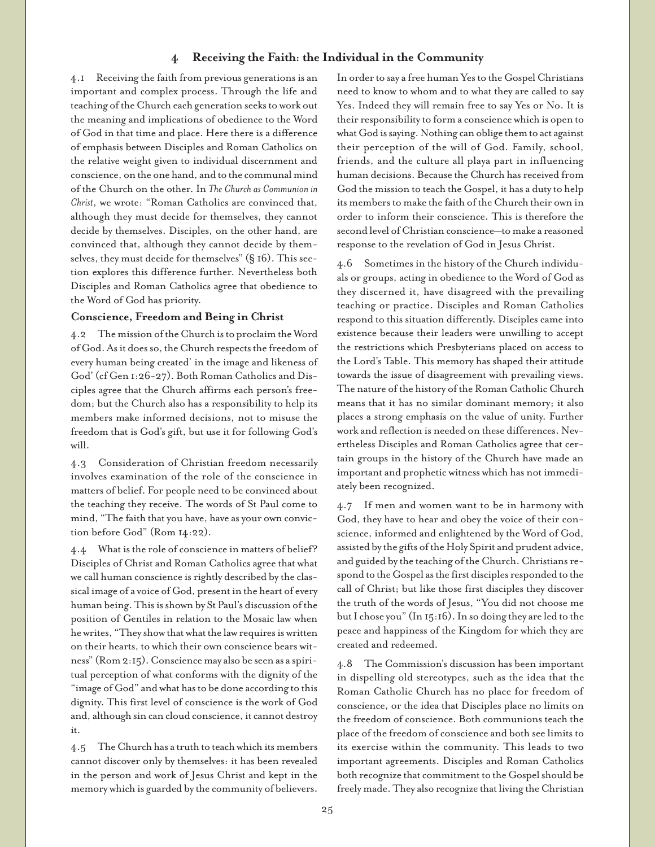# **4 Receiving the Faith: the Individual in the Community**

4.1 Receiving the faith from previous generations is an important and complex process. Through the life and teaching of the Church each generation seeks to work out the meaning and implications of obedience to the Word of God in that time and place. Here there is a difference of emphasis between Disciples and Roman Catholics on the relative weight given to individual discernment and conscience, on the one hand, and to the communal mind of the Church on the other. In *The Church as Communion in Christ*, we wrote: "Roman Catholics are convinced that, although they must decide for themselves, they cannot decide by themselves. Disciples, on the other hand, are convinced that, although they cannot decide by themselves, they must decide for themselves" (§ 16). This section explores this difference further. Nevertheless both Disciples and Roman Catholics agree that obedience to the Word of God has priority.

# **Conscience, Freedom and Being in Christ**

4.2 The mission of the Church is to proclaim the Word of God. As it does so, the Church respects the freedom of every human being created' in the image and likeness of God' (cf Gen 1:26-27). Both Roman Catholics and Disciples agree that the Church affirms each person's freedom; but the Church also has a responsibility to help its members make informed decisions, not to misuse the freedom that is God's gift, but use it for following God's will.

4.3 Consideration of Christian freedom necessarily involves examination of the role of the conscience in matters of belief. For people need to be convinced about the teaching they receive. The words of St Paul come to mind, "The faith that you have, have as your own conviction before God" (Rom 14:22).

4.4 What is the role of conscience in matters of belief? Disciples of Christ and Roman Catholics agree that what we call human conscience is rightly described by the classical image of a voice of God, present in the heart of every human being. This is shown by St Paul's discussion of the position of Gentiles in relation to the Mosaic law when he writes, "They show that what the law requires is written on their hearts, to which their own conscience bears witness" (Rom 2:15). Conscience may also be seen as a spiritual perception of what conforms with the dignity of the "image of God" and what has to be done according to this dignity. This first level of conscience is the work of God and, although sin can cloud conscience, it cannot destroy it.

4.5 The Church has a truth to teach which its members cannot discover only by themselves: it has been revealed in the person and work of Jesus Christ and kept in the memory which is guarded by the community of believers.

In order to say a free human Yes to the Gospel Christians need to know to whom and to what they are called to say Yes. Indeed they will remain free to say Yes or No. It is their responsibility to form a conscience which is open to what God is saying. Nothing can oblige them to act against their perception of the will of God. Family, school, friends, and the culture all playa part in influencing human decisions. Because the Church has received from God the mission to teach the Gospel, it has a duty to help its members to make the faith of the Church their own in order to inform their conscience. This is therefore the second level of Christian conscience—to make a reasoned response to the revelation of God in Jesus Christ.

4.6 Sometimes in the history of the Church individuals or groups, acting in obedience to the Word of God as they discerned it, have disagreed with the prevailing teaching or practice. Disciples and Roman Catholics respond to this situation differently. Disciples came into existence because their leaders were unwilling to accept the restrictions which Presbyterians placed on access to the Lord's Table. This memory has shaped their attitude towards the issue of disagreement with prevailing views. The nature of the history of the Roman Catholic Church means that it has no similar dominant memory; it also places a strong emphasis on the value of unity. Further work and reflection is needed on these differences. Nevertheless Disciples and Roman Catholics agree that certain groups in the history of the Church have made an important and prophetic witness which has not immediately been recognized.

4.7 If men and women want to be in harmony with God, they have to hear and obey the voice of their conscience, informed and enlightened by the Word of God, assisted by the gifts of the Holy Spirit and prudent advice, and guided by the teaching of the Church. Christians respond to the Gospel as the first disciples responded to the call of Christ; but like those first disciples they discover the truth of the words of Jesus, "You did not choose me but I chose you" (In 15:16). In so doing they are led to the peace and happiness of the Kingdom for which they are created and redeemed.

4.8 The Commission's discussion has been important in dispelling old stereotypes, such as the idea that the Roman Catholic Church has no place for freedom of conscience, or the idea that Disciples place no limits on the freedom of conscience. Both communions teach the place of the freedom of conscience and both see limits to its exercise within the community. This leads to two important agreements. Disciples and Roman Catholics both recognize that commitment to the Gospel should be freely made. They also recognize that living the Christian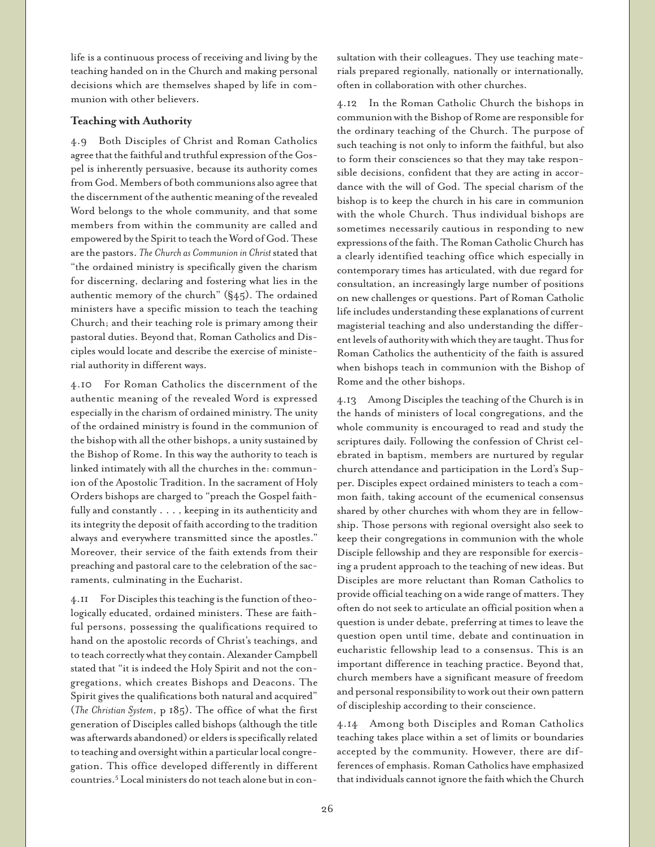life is a continuous process of receiving and living by the teaching handed on in the Church and making personal decisions which are themselves shaped by life in communion with other believers.

# **Teaching with Authority**

4.9 Both Disciples of Christ and Roman Catholics agree that the faithful and truthful expression of the Gospel is inherently persuasive, because its authority comes from God. Members of both communions also agree that the discernment of the authentic meaning of the revealed Word belongs to the whole community, and that some members from within the community are called and empowered by the Spirit to teach the Word of God. These are the pastors. *The Church as Communion in Christ* stated that "the ordained ministry is specifically given the charism for discerning, declaring and fostering what lies in the authentic memory of the church" (§45). The ordained ministers have a specific mission to teach the teaching Church; and their teaching role is primary among their pastoral duties. Beyond that, Roman Catholics and Disciples would locate and describe the exercise of ministerial authority in different ways.

4.10 For Roman Catholics the discernment of the authentic meaning of the revealed Word is expressed especially in the charism of ordained ministry. The unity of the ordained ministry is found in the communion of the bishop with all the other bishops, a unity sustained by the Bishop of Rome. In this way the authority to teach is linked intimately with all the churches in the: communion of the Apostolic Tradition. In the sacrament of Holy Orders bishops are charged to "preach the Gospel faithfully and constantly . . . , keeping in its authenticity and its integrity the deposit of faith according to the tradition always and everywhere transmitted since the apostles." Moreover, their service of the faith extends from their preaching and pastoral care to the celebration of the sacraments, culminating in the Eucharist.

4.11 For Disciples this teaching is the function of theologically educated, ordained ministers. These are faithful persons, possessing the qualifications required to hand on the apostolic records of Christ's teachings, and to teach correctly what they contain. Alexander Campbell stated that "it is indeed the Holy Spirit and not the congregations, which creates Bishops and Deacons. The Spirit gives the qualifications both natural and acquired" (*The Christian System*, p 185). The office of what the first generation of Disciples called bishops (although the title was afterwards abandoned) or elders is specifically related to teaching and oversight within a particular local congregation. This office developed differently in different countries.5 Local ministers do not teach alone but in consultation with their colleagues. They use teaching materials prepared regionally, nationally or internationally, often in collaboration with other churches.

4.12 In the Roman Catholic Church the bishops in communion with the Bishop of Rome are responsible for the ordinary teaching of the Church. The purpose of such teaching is not only to inform the faithful, but also to form their consciences so that they may take responsible decisions, confident that they are acting in accordance with the will of God. The special charism of the bishop is to keep the church in his care in communion with the whole Church. Thus individual bishops are sometimes necessarily cautious in responding to new expressions of the faith. The Roman Catholic Church has a clearly identified teaching office which especially in contemporary times has articulated, with due regard for consultation, an increasingly large number of positions on new challenges or questions. Part of Roman Catholic life includes understanding these explanations of current magisterial teaching and also understanding the different levels of authority with which they are taught. Thus for Roman Catholics the authenticity of the faith is assured when bishops teach in communion with the Bishop of Rome and the other bishops.

4.13 Among Disciples the teaching of the Church is in the hands of ministers of local congregations, and the whole community is encouraged to read and study the scriptures daily. Following the confession of Christ celebrated in baptism, members are nurtured by regular church attendance and participation in the Lord's Supper. Disciples expect ordained ministers to teach a common faith, taking account of the ecumenical consensus shared by other churches with whom they are in fellowship. Those persons with regional oversight also seek to keep their congregations in communion with the whole Disciple fellowship and they are responsible for exercising a prudent approach to the teaching of new ideas. But Disciples are more reluctant than Roman Catholics to provide official teaching on a wide range of matters. They often do not seek to articulate an official position when a question is under debate, preferring at times to leave the question open until time, debate and continuation in eucharistic fellowship lead to a consensus. This is an important difference in teaching practice. Beyond that, church members have a significant measure of freedom and personal responsibility to work out their own pattern of discipleship according to their conscience.

4.14 Among both Disciples and Roman Catholics teaching takes place within a set of limits or boundaries accepted by the community. However, there are differences of emphasis. Roman Catholics have emphasized that individuals cannot ignore the faith which the Church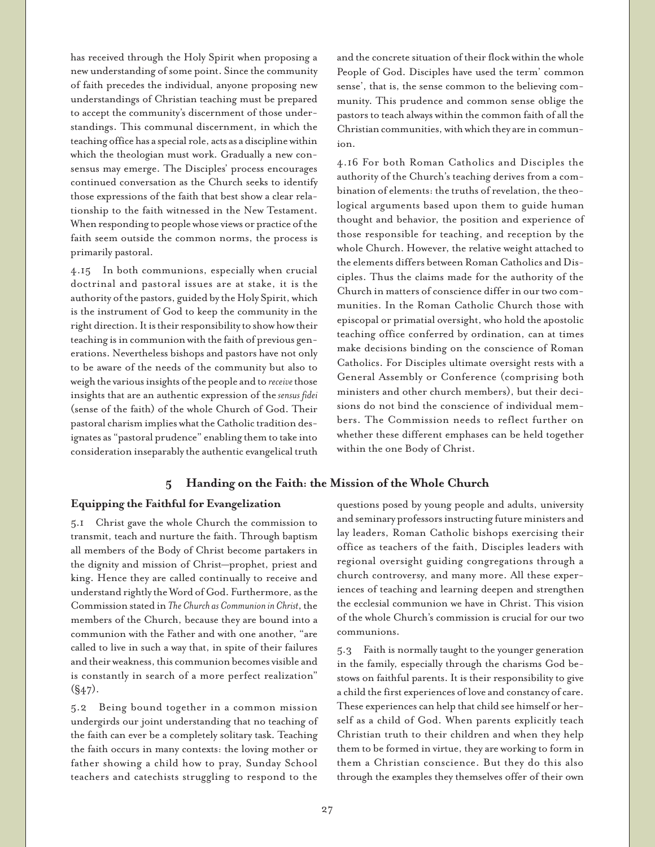has received through the Holy Spirit when proposing a new understanding of some point. Since the community of faith precedes the individual, anyone proposing new understandings of Christian teaching must be prepared to accept the community's discernment of those understandings. This communal discernment, in which the teaching office has a special role, acts as a discipline within which the theologian must work. Gradually a new consensus may emerge. The Disciples' process encourages continued conversation as the Church seeks to identify those expressions of the faith that best show a clear relationship to the faith witnessed in the New Testament. When responding to people whose views or practice of the faith seem outside the common norms, the process is primarily pastoral.

4.15 In both communions, especially when crucial doctrinal and pastoral issues are at stake, it is the authority of the pastors, guided by the Holy Spirit, which is the instrument of God to keep the community in the right direction. It is their responsibility to show how their teaching is in communion with the faith of previous generations. Nevertheless bishops and pastors have not only to be aware of the needs of the community but also to weigh the various insights of the people and to *receive* those insights that are an authentic expression of the *sensus fidei* (sense of the faith) of the whole Church of God. Their pastoral charism implies what the Catholic tradition designates as "pastoral prudence" enabling them to take into consideration inseparably the authentic evangelical truth

# **5 Handing on the Faith: the Mission of the Whole Church**

### **Equipping the Faithful for Evangelization**

5.1 Christ gave the whole Church the commission to transmit, teach and nurture the faith. Through baptism all members of the Body of Christ become partakers in the dignity and mission of Christ—prophet, priest and king. Hence they are called continually to receive and understand rightly the Word of God. Furthermore, as the Commission stated in *The Church as Communion in Christ*, the members of the Church, because they are bound into a communion with the Father and with one another, "are called to live in such a way that, in spite of their failures and their weakness, this communion becomes visible and is constantly in search of a more perfect realization"  $(S47)$ .

5.2 Being bound together in a common mission undergirds our joint understanding that no teaching of the faith can ever be a completely solitary task. Teaching the faith occurs in many contexts: the loving mother or father showing a child how to pray, Sunday School teachers and catechists struggling to respond to the

and the concrete situation of their flock within the whole People of God. Disciples have used the term' common sense', that is, the sense common to the believing community. This prudence and common sense oblige the pastors to teach always within the common faith of all the Christian communities, with which they are in communion.

4.16 For both Roman Catholics and Disciples the authority of the Church's teaching derives from a combination of elements: the truths of revelation, the theological arguments based upon them to guide human thought and behavior, the position and experience of those responsible for teaching, and reception by the whole Church. However, the relative weight attached to the elements differs between Roman Catholics and Disciples. Thus the claims made for the authority of the Church in matters of conscience differ in our two communities. In the Roman Catholic Church those with episcopal or primatial oversight, who hold the apostolic teaching office conferred by ordination, can at times make decisions binding on the conscience of Roman Catholics. For Disciples ultimate oversight rests with a General Assembly or Conference (comprising both ministers and other church members), but their decisions do not bind the conscience of individual members. The Commission needs to reflect further on whether these different emphases can be held together within the one Body of Christ.

questions posed by young people and adults, university and seminary professors instructing future ministers and lay leaders, Roman Catholic bishops exercising their office as teachers of the faith, Disciples leaders with regional oversight guiding congregations through a church controversy, and many more. All these experiences of teaching and learning deepen and strengthen the ecclesial communion we have in Christ. This vision of the whole Church's commission is crucial for our two communions.

5.3 Faith is normally taught to the younger generation in the family, especially through the charisms God bestows on faithful parents. It is their responsibility to give a child the first experiences of love and constancy of care. These experiences can help that child see himself or herself as a child of God. When parents explicitly teach Christian truth to their children and when they help them to be formed in virtue, they are working to form in them a Christian conscience. But they do this also through the examples they themselves offer of their own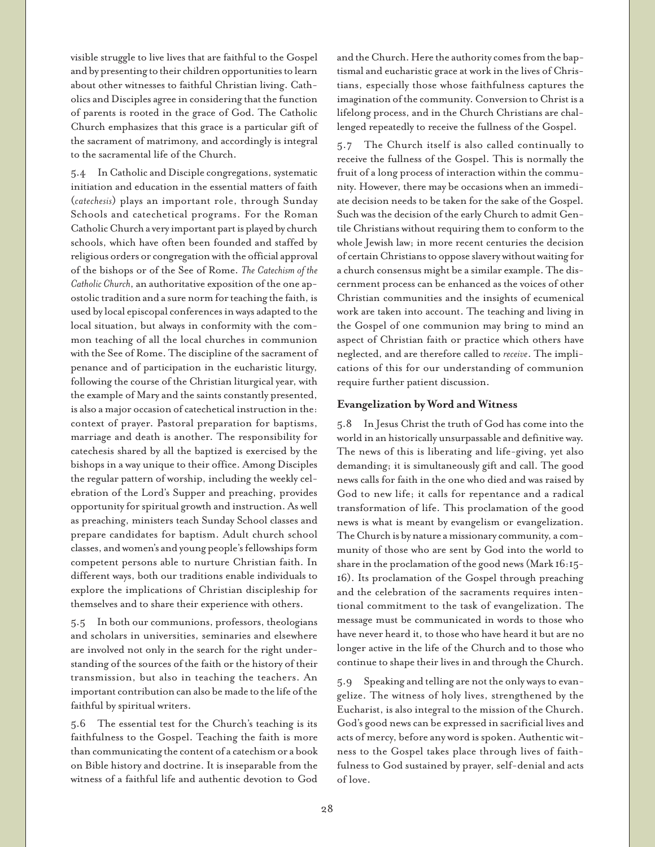visible struggle to live lives that are faithful to the Gospel and by presenting to their children opportunities to learn about other witnesses to faithful Christian living. Catholics and Disciples agree in considering that the function of parents is rooted in the grace of God. The Catholic Church emphasizes that this grace is a particular gift of the sacrament of matrimony, and accordingly is integral to the sacramental life of the Church.

5.4 In Catholic and Disciple congregations, systematic initiation and education in the essential matters of faith (*catechesis*) plays an important role, through Sunday Schools and catechetical programs. For the Roman Catholic Church a very important part is played by church schools, which have often been founded and staffed by religious orders or congregation with the official approval of the bishops or of the See of Rome. *The Catechism of the Catholic Church*, an authoritative exposition of the one apostolic tradition and a sure norm for teaching the faith, is used by local episcopal conferences in ways adapted to the local situation, but always in conformity with the common teaching of all the local churches in communion with the See of Rome. The discipline of the sacrament of penance and of participation in the eucharistic liturgy, following the course of the Christian liturgical year, with the example of Mary and the saints constantly presented, is also a major occasion of catechetical instruction in the: context of prayer. Pastoral preparation for baptisms, marriage and death is another. The responsibility for catechesis shared by all the baptized is exercised by the bishops in a way unique to their office. Among Disciples the regular pattern of worship, including the weekly celebration of the Lord's Supper and preaching, provides opportunity for spiritual growth and instruction. As well as preaching, ministers teach Sunday School classes and prepare candidates for baptism. Adult church school classes, and women's and young people's fellowships form competent persons able to nurture Christian faith. In different ways, both our traditions enable individuals to explore the implications of Christian discipleship for themselves and to share their experience with others.

5.5 In both our communions, professors, theologians and scholars in universities, seminaries and elsewhere are involved not only in the search for the right understanding of the sources of the faith or the history of their transmission, but also in teaching the teachers. An important contribution can also be made to the life of the faithful by spiritual writers.

5.6 The essential test for the Church's teaching is its faithfulness to the Gospel. Teaching the faith is more than communicating the content of a catechism or a book on Bible history and doctrine. It is inseparable from the witness of a faithful life and authentic devotion to God

and the Church. Here the authority comes from the baptismal and eucharistic grace at work in the lives of Christians, especially those whose faithfulness captures the imagination of the community. Conversion to Christ is a lifelong process, and in the Church Christians are challenged repeatedly to receive the fullness of the Gospel.

5.7 The Church itself is also called continually to receive the fullness of the Gospel. This is normally the fruit of a long process of interaction within the community. However, there may be occasions when an immediate decision needs to be taken for the sake of the Gospel. Such was the decision of the early Church to admit Gentile Christians without requiring them to conform to the whole Jewish law; in more recent centuries the decision of certain Christians to oppose slavery without waiting for a church consensus might be a similar example. The discernment process can be enhanced as the voices of other Christian communities and the insights of ecumenical work are taken into account. The teaching and living in the Gospel of one communion may bring to mind an aspect of Christian faith or practice which others have neglected, and are therefore called to *receive*. The implications of this for our understanding of communion require further patient discussion.

#### **Evangelization by Word and Witness**

5.8 In Jesus Christ the truth of God has come into the world in an historically unsurpassable and definitive way. The news of this is liberating and life-giving, yet also demanding; it is simultaneously gift and call. The good news calls for faith in the one who died and was raised by God to new life; it calls for repentance and a radical transformation of life. This proclamation of the good news is what is meant by evangelism or evangelization. The Church is by nature a missionary community, a community of those who are sent by God into the world to share in the proclamation of the good news (Mark 16:15- 16). Its proclamation of the Gospel through preaching and the celebration of the sacraments requires intentional commitment to the task of evangelization. The message must be communicated in words to those who have never heard it, to those who have heard it but are no longer active in the life of the Church and to those who continue to shape their lives in and through the Church.

5.9 Speaking and telling are not the only ways to evangelize. The witness of holy lives, strengthened by the Eucharist, is also integral to the mission of the Church. God's good news can be expressed in sacrificial lives and acts of mercy, before any word is spoken. Authentic witness to the Gospel takes place through lives of faithfulness to God sustained by prayer, self-denial and acts of love.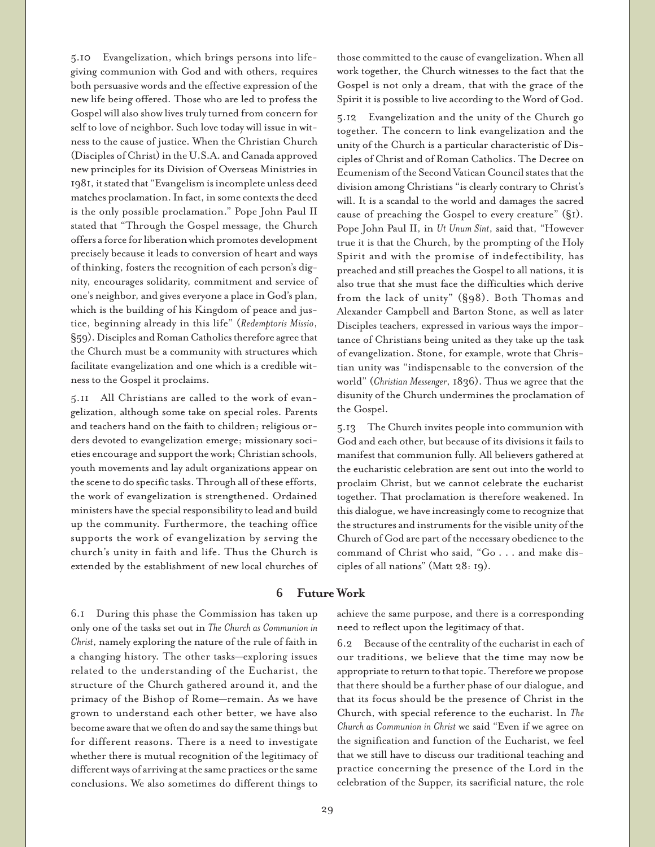5.10 Evangelization, which brings persons into lifegiving communion with God and with others, requires both persuasive words and the effective expression of the new life being offered. Those who are led to profess the Gospel will also show lives truly turned from concern for self to love of neighbor. Such love today will issue in witness to the cause of justice. When the Christian Church (Disciples of Christ) in the U.S.A. and Canada approved new principles for its Division of Overseas Ministries in 1981, it stated that "Evangelism is incomplete unless deed matches proclamation. In fact, in some contexts the deed is the only possible proclamation." Pope John Paul II stated that "Through the Gospel message, the Church offers a force for liberation which promotes development precisely because it leads to conversion of heart and ways of thinking, fosters the recognition of each person's dignity, encourages solidarity, commitment and service of one's neighbor, and gives everyone a place in God's plan, which is the building of his Kingdom of peace and justice, beginning already in this life" (*Redemptoris Missio*, §59). Disciples and Roman Catholics therefore agree that the Church must be a community with structures which facilitate evangelization and one which is a credible witness to the Gospel it proclaims.

5.11 All Christians are called to the work of evangelization, although some take on special roles. Parents and teachers hand on the faith to children; religious orders devoted to evangelization emerge; missionary societies encourage and support the work; Christian schools, youth movements and lay adult organizations appear on the scene to do specific tasks. Through all of these efforts, the work of evangelization is strengthened. Ordained ministers have the special responsibility to lead and build up the community. Furthermore, the teaching office supports the work of evangelization by serving the church's unity in faith and life. Thus the Church is extended by the establishment of new local churches of those committed to the cause of evangelization. When all work together, the Church witnesses to the fact that the Gospel is not only a dream, that with the grace of the Spirit it is possible to live according to the Word of God.

5.12 Evangelization and the unity of the Church go together. The concern to link evangelization and the unity of the Church is a particular characteristic of Disciples of Christ and of Roman Catholics. The Decree on Ecumenism of the Second Vatican Council states that the division among Christians "is clearly contrary to Christ's will. It is a scandal to the world and damages the sacred cause of preaching the Gospel to every creature" (§1). Pope John Paul II, in *Ut Unum Sint*, said that, "However true it is that the Church, by the prompting of the Holy Spirit and with the promise of indefectibility, has preached and still preaches the Gospel to all nations, it is also true that she must face the difficulties which derive from the lack of unity" (§98). Both Thomas and Alexander Campbell and Barton Stone, as well as later Disciples teachers, expressed in various ways the importance of Christians being united as they take up the task of evangelization. Stone, for example, wrote that Christian unity was "indispensable to the conversion of the world" (*Christian Messenger*, 1836). Thus we agree that the disunity of the Church undermines the proclamation of the Gospel.

5.13 The Church invites people into communion with God and each other, but because of its divisions it fails to manifest that communion fully. All believers gathered at the eucharistic celebration are sent out into the world to proclaim Christ, but we cannot celebrate the eucharist together. That proclamation is therefore weakened. In this dialogue, we have increasingly come to recognize that the structures and instruments for the visible unity of the Church of God are part of the necessary obedience to the command of Christ who said, "Go . . . and make disciples of all nations" (Matt 28: 19).

#### **6 Future Work**

6.1 During this phase the Commission has taken up only one of the tasks set out in *The Church as Communion in Christ*, namely exploring the nature of the rule of faith in a changing history. The other tasks—exploring issues related to the understanding of the Eucharist, the structure of the Church gathered around it, and the primacy of the Bishop of Rome—remain. As we have grown to understand each other better, we have also become aware that we often do and say the same things but for different reasons. There is a need to investigate whether there is mutual recognition of the legitimacy of different ways of arriving at the same practices or the same conclusions. We also sometimes do different things to

achieve the same purpose, and there is a corresponding need to reflect upon the legitimacy of that.

6.2 Because of the centrality of the eucharist in each of our traditions, we believe that the time may now be appropriate to return to that topic. Therefore we propose that there should be a further phase of our dialogue, and that its focus should be the presence of Christ in the Church, with special reference to the eucharist. In *The Church as Communion in Christ* we said "Even if we agree on the signification and function of the Eucharist, we feel that we still have to discuss our traditional teaching and practice concerning the presence of the Lord in the celebration of the Supper, its sacrificial nature, the role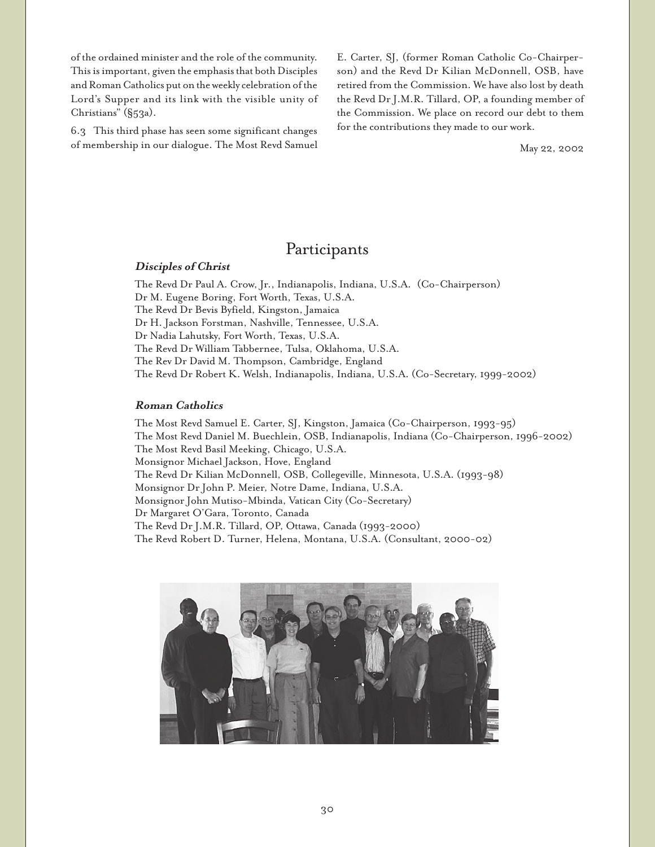of the ordained minister and the role of the community. This is important, given the emphasis that both Disciples and Roman Catholics put on the weekly celebration of the Lord's Supper and its link with the visible unity of Christians" (§53a).

6.3 This third phase has seen some significant changes of membership in our dialogue. The Most Revd Samuel E. Carter, SJ, (former Roman Catholic Co-Chairperson) and the Revd Dr Kilian McDonnell, OSB, have retired from the Commission. We have also lost by death the Revd Dr J.M.R. Tillard, OP, a founding member of the Commission. We place on record our debt to them for the contributions they made to our work.

May 22, 2002

# Participants

#### **Disciples of Christ**

The Revd Dr Paul A. Crow, Jr., Indianapolis, Indiana, U.S.A. (Co-Chairperson) Dr M. Eugene Boring, Fort Worth, Texas, U.S.A. The Revd Dr Bevis Byfield, Kingston, Jamaica Dr H. Jackson Forstman, Nashville, Tennessee, U.S.A. Dr Nadia Lahutsky, Fort Worth, Texas, U.S.A. The Revd Dr William Tabbernee, Tulsa, Oklahoma, U.S.A. The Rev Dr David M. Thompson, Cambridge, England The Revd Dr Robert K. Welsh, Indianapolis, Indiana, U.S.A. (Co-Secretary, 1999-2002)

#### **Roman Catholics**

The Most Revd Samuel E. Carter, SJ, Kingston, Jamaica (Co-Chairperson, 1993-95) The Most Revd Daniel M. Buechlein, OSB, Indianapolis, Indiana (Co-Chairperson, 1996-2002) The Most Revd Basil Meeking, Chicago, U.S.A. Monsignor Michael Jackson, Hove, England The Revd Dr Kilian McDonnell, OSB, Collegeville, Minnesota, U.S.A. (1993-98) Monsignor Dr John P. Meier, Notre Dame, Indiana, U.S.A. Monsignor John Mutiso-Mbinda, Vatican City (Co-Secretary) Dr Margaret O'Gara, Toronto, Canada The Revd Dr J.M.R. Tillard, OP, Ottawa, Canada (1993-2000) The Revd Robert D. Turner, Helena, Montana, U.S.A. (Consultant, 2000-02)